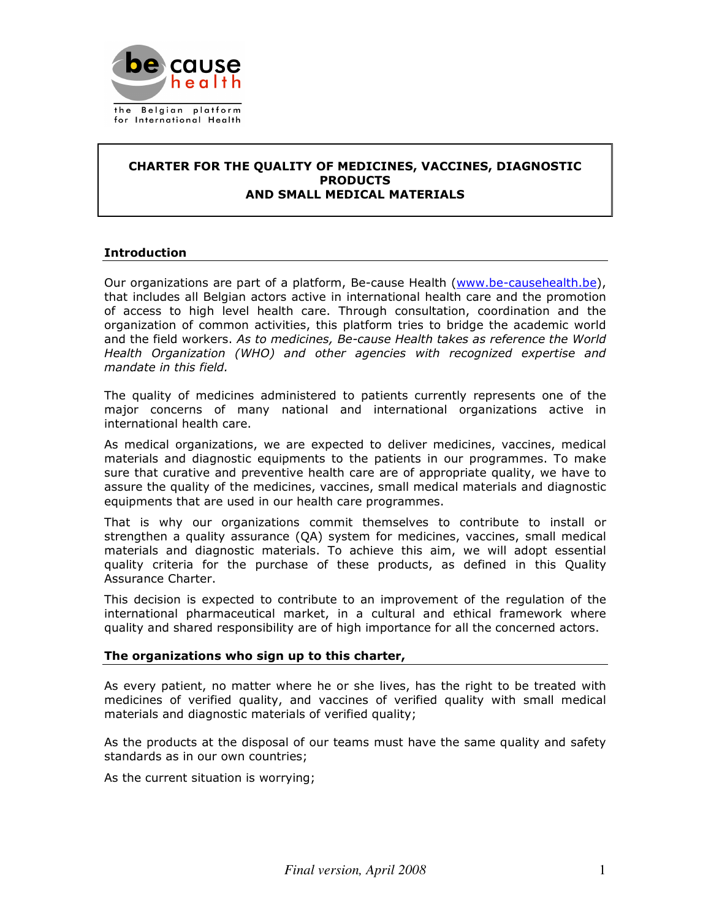

## CHARTER FOR THE QUALITY OF MEDICINES, VACCINES, DIAGNOSTIC **PRODUCTS** AND SMALL MEDICAL MATERIALS

# **Introduction**

Our organizations are part of a platform, Be-cause Health (www.be-causehealth.be), that includes all Belgian actors active in international health care and the promotion of access to high level health care. Through consultation, coordination and the organization of common activities, this platform tries to bridge the academic world and the field workers. As to medicines, Be-cause Health takes as reference the World Health Organization (WHO) and other agencies with recognized expertise and mandate in this field.

The quality of medicines administered to patients currently represents one of the major concerns of many national and international organizations active in international health care.

As medical organizations, we are expected to deliver medicines, vaccines, medical materials and diagnostic equipments to the patients in our programmes. To make sure that curative and preventive health care are of appropriate quality, we have to assure the quality of the medicines, vaccines, small medical materials and diagnostic equipments that are used in our health care programmes.

That is why our organizations commit themselves to contribute to install or strengthen a quality assurance (QA) system for medicines, vaccines, small medical materials and diagnostic materials. To achieve this aim, we will adopt essential quality criteria for the purchase of these products, as defined in this Quality Assurance Charter.

This decision is expected to contribute to an improvement of the regulation of the international pharmaceutical market, in a cultural and ethical framework where quality and shared responsibility are of high importance for all the concerned actors.

# The organizations who sign up to this charter,

As every patient, no matter where he or she lives, has the right to be treated with medicines of verified quality, and vaccines of verified quality with small medical materials and diagnostic materials of verified quality;

As the products at the disposal of our teams must have the same quality and safety standards as in our own countries;

As the current situation is worrying;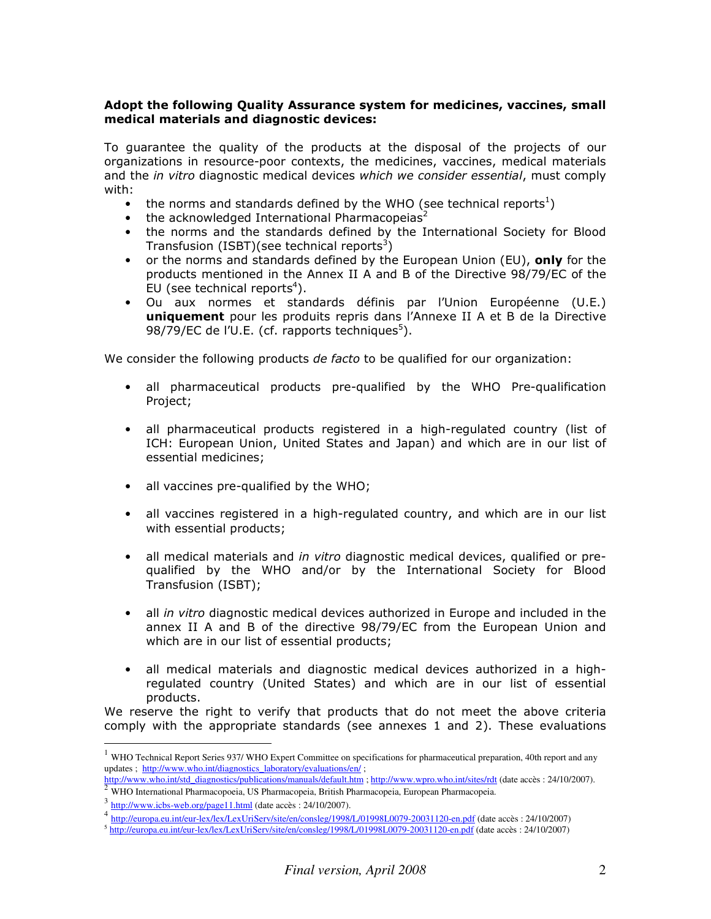# Adopt the following Quality Assurance system for medicines, vaccines, small medical materials and diagnostic devices:

To guarantee the quality of the products at the disposal of the projects of our organizations in resource-poor contexts, the medicines, vaccines, medical materials and the in vitro diagnostic medical devices which we consider essential, must comply with:

- the norms and standards defined by the WHO (see technical reports<sup>1</sup>)
- the acknowledged International Pharmacopeias<sup>2</sup>
- the norms and the standards defined by the International Society for Blood Transfusion (ISBT)(see technical reports<sup>3</sup>)
- or the norms and standards defined by the European Union (EU), only for the products mentioned in the Annex II A and B of the Directive 98/79/EC of the EU (see technical reports<sup>4</sup>).
- Ou aux normes et standards définis par l'Union Européenne (U.E.) uniquement pour les produits repris dans l'Annexe II A et B de la Directive 98/79/EC de l'U.E. (cf. rapports techniques $5$ ).

We consider the following products de facto to be qualified for our organization:

- all pharmaceutical products pre-qualified by the WHO Pre-qualification Project;
- all pharmaceutical products registered in a high-regulated country (list of ICH: European Union, United States and Japan) and which are in our list of essential medicines;
- all vaccines pre-qualified by the WHO;
- all vaccines registered in a high-regulated country, and which are in our list with essential products;
- all medical materials and in vitro diagnostic medical devices, qualified or prequalified by the WHO and/or by the International Society for Blood Transfusion (ISBT);
- all in vitro diagnostic medical devices authorized in Europe and included in the annex II A and B of the directive 98/79/EC from the European Union and which are in our list of essential products;
- all medical materials and diagnostic medical devices authorized in a highregulated country (United States) and which are in our list of essential products.

We reserve the right to verify that products that do not meet the above criteria comply with the appropriate standards (see annexes 1 and 2). These evaluations

 $\overline{a}$ 

 $1$  WHO Technical Report Series 937/ WHO Expert Committee on specifications for pharmaceutical preparation, 40th report and any updates ; http://www.who.int/diagnostics\_laboratory/evaluations/en/;

http://www.who.int/std\_diagnostics/publications/manuals/default.htm ; http://www.wpro.who.int/sites/rdt (date accès : 24/10/2007).

<sup>2</sup> WHO International Pharmacopoeia, US Pharmacopeia, British Pharmacopeia, European Pharmacopeia.

<sup>&</sup>lt;sup>3</sup> http://www.icbs-web.org/page11.html (date accès : 24/10/2007).

<sup>&</sup>lt;sup>4</sup> htt<u>p://europa.eu.int/eur-lex/lex/LexUriServ/site/en/consleg/1998/L/01998L0079-20031120-en.pdf (date accès : 24/10/2007)<br><sup>5</sup> <u>http://europa.eu.int/eur-lex/lex/LexUriServ/site/en/consleg/1998/L/01998L0079-20031120-en.pd</u></u>